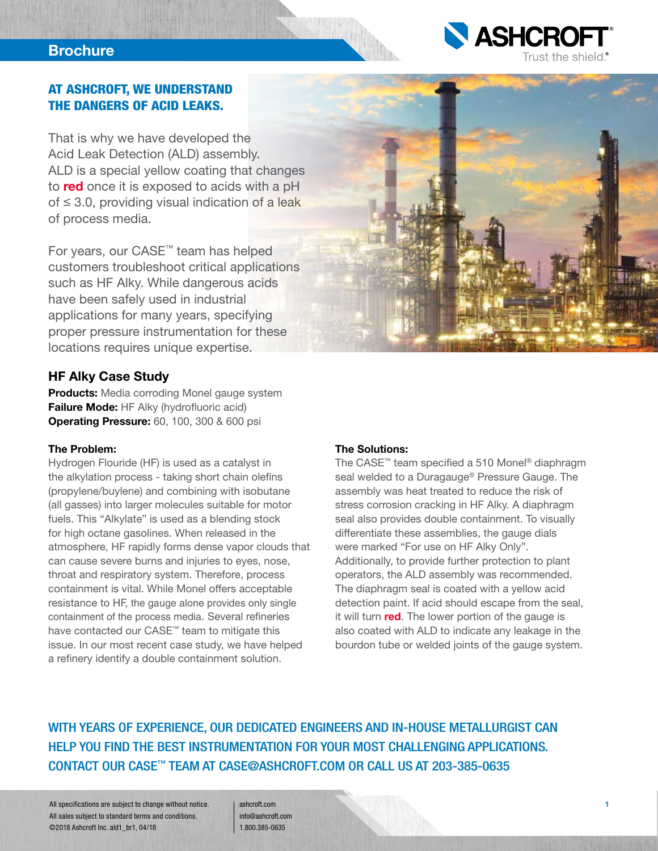

# AT ACHORAFT HIE HURFRATAND AT ASHCROFT, WE UNDERSTAND THE DANGERS OF ACID LEAKS.

That is why we have developed the Acid Leak Detection (ALD) assembly. ALD is a special yellow coating that changes to red once it is exposed to acids with a pH of  $\leq$  3.0, providing visual indication of a leak of process media.

For years, our CASE™ team has helped customers troubleshoot critical applications such as HF Alky. While dangerous acids have been safely used in industrial applications for many years, specifying proper pressure instrumentation for these locations requires unique expertise.

# HF Alky Case Study

**Products:** Media corroding Monel gauge system Failure Mode: HF Alky (hydrofluoric acid) **Operating Pressure: 60, 100, 300 & 600 psi** 

# The Problem:

Hydrogen Flouride (HF) is used as a catalyst in the alkylation process - taking short chain olefins (propylene/buylene) and combining with isobutane (all gasses) into larger molecules suitable for motor fuels. This "Alkylate" is used as a blending stock for high octane gasolines. When released in the atmosphere, HF rapidly forms dense vapor clouds that can cause severe burns and injuries to eyes, nose, throat and respiratory system. Therefore, process containment is vital. While Monel offers acceptable resistance to HF, the gauge alone provides only single containment of the process media. Several refineries have contacted our CASE™ team to mitigate this issue. In our most recent case study, we have helped a refinery identify a double containment solution.

# The Solutions:

The CASE™ team specified a 510 Monel® diaphragm seal welded to a Duragauge® Pressure Gauge. The assembly was heat treated to reduce the risk of stress corrosion cracking in HF Alky. A diaphragm seal also provides double containment. To visually differentiate these assemblies, the gauge dials were marked "For use on HF Alky Only". Additionally, to provide further protection to plant operators, the ALD assembly was recommended. The diaphragm seal is coated with a yellow acid detection paint. If acid should escape from the seal, it will turn red. The lower portion of the gauge is also coated with ALD to indicate any leakage in the bourdon tube or welded joints of the gauge system.

WITH YEARS OF EXPERIENCE, OUR DEDICATED ENGINEERS AND IN-HOUSE METALLURGIST CAN HELP YOU FIND THE BEST INSTRUMENTATION FOR YOUR MOST CHALLENGING APPLICATIONS. CONTACT OUR CASE™ TEAM AT CASE@ASHCROFT.COM OR CALL US AT 203-385-0635

All specifications are subject to change without notice. <br>
1 All sales subject to standard terms and conditions. ©2018 Ashcroft Inc. ald1\_br1, 04/18

ashcroft.com info@ashcroft.com 1.800.385-0635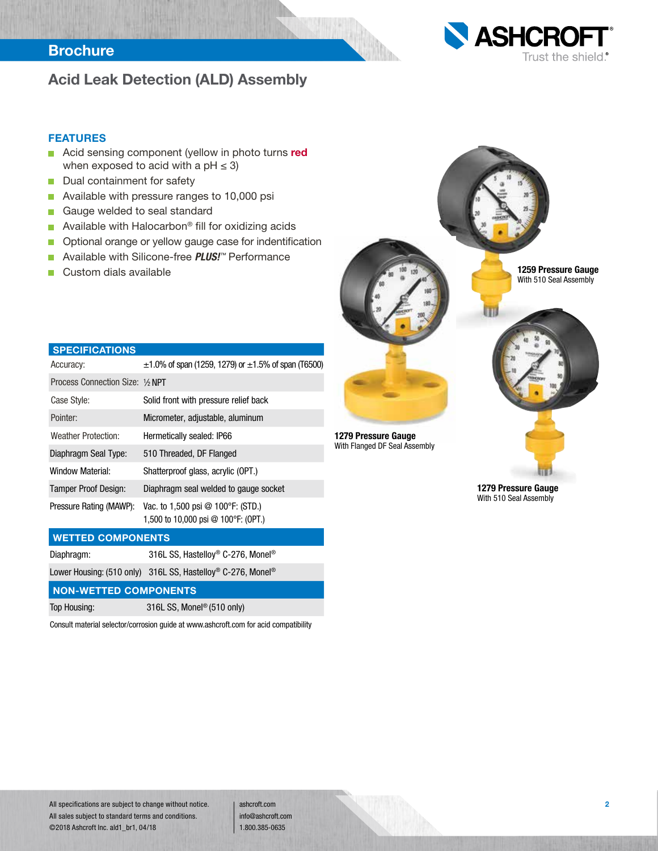# **Brochure**

# Acid Leak Detection (ALD) Assembly



#### FEATURES

- Acid sensing component (yellow in photo turns red when exposed to acid with a  $pH \leq 3$ )
- Dual containment for safety
- Available with pressure ranges to 10,000 psi
- Gauge welded to seal standard
- Available with Halocarbon® fill for oxidizing acids  $\blacksquare$
- Optional orange or yellow gauge case for indentification  $\overline{\phantom{a}}$
- Available with Silicone-free *PLUS!™* Performance П
- Custom dials available п

## **SPECIFICATIONS**

| Accuracy:                        | $\pm$ 1.0% of span (1259, 1279) or $\pm$ 1.5% of span (T6500)            |
|----------------------------------|--------------------------------------------------------------------------|
| Process Connection Size: 1/2 NPT |                                                                          |
| Case Style:                      | Solid front with pressure relief back                                    |
| Pointer:                         | Micrometer, adjustable, aluminum                                         |
| <b>Weather Protection:</b>       | Hermetically sealed: IP66                                                |
| Diaphragm Seal Type:             | 510 Threaded, DF Flanged                                                 |
| Window Material:                 | Shatterproof glass, acrylic (OPT.)                                       |
| <b>Tamper Proof Design:</b>      | Diaphragm seal welded to gauge socket                                    |
| Pressure Rating (MAWP):          | Vac. to 1,500 psi @ 100°F: (STD.)<br>1,500 to 10,000 psi @ 100°F: (OPT.) |

## WETTED COMPONENTS

Diaphragm: 316L SS, Hastelloy® C-276, Monel®

Lower Housing: (510 only) 316L SS, Hastelloy® C-276, Monel®

#### NON-WETTED COMPONENTS

Top Housing: 316L SS, Monel<sup>®</sup> (510 only)

Consult material selector/corrosion guide at www.ashcroft.com for acid compatibility



1279 Pressure Gauge With 510 Seal Assembly

ashcroft.com info@ashcroft.com 1.800.385-0635